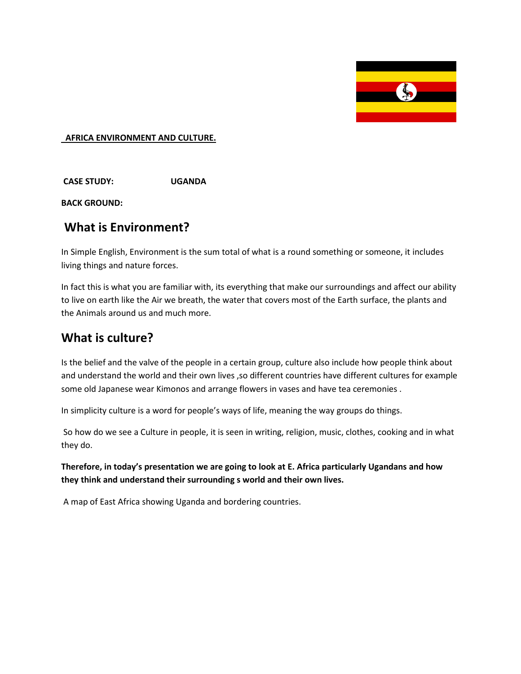

#### **AFRICA ENVIRONMENT AND CULTURE.**

**CASE STUDY: UGANDA**

**BACK GROUND:**

### **What is Environment?**

In Simple English, Environment is the sum total of what is a round something or someone, it includes living things and nature forces.

In fact this is what you are familiar with, its everything that make our surroundings and affect our ability to live on earth like the Air we breath, the water that covers most of the Earth surface, the plants and the Animals around us and much more.

# **What is culture?**

Is the belief and the valve of the people in a certain group, culture also include how people think about and understand the world and their own lives ,so different countries have different cultures for example some old Japanese wear Kimonos and arrange flowers in vases and have tea ceremonies .

In simplicity culture is a word for people's ways of life, meaning the way groups do things.

So how do we see a Culture in people, it is seen in writing, religion, music, clothes, cooking and in what they do.

**Therefore, in today's presentation we are going to look at E. Africa particularly Ugandans and how they think and understand their surrounding s world and their own lives.** 

A map of East Africa showing Uganda and bordering countries.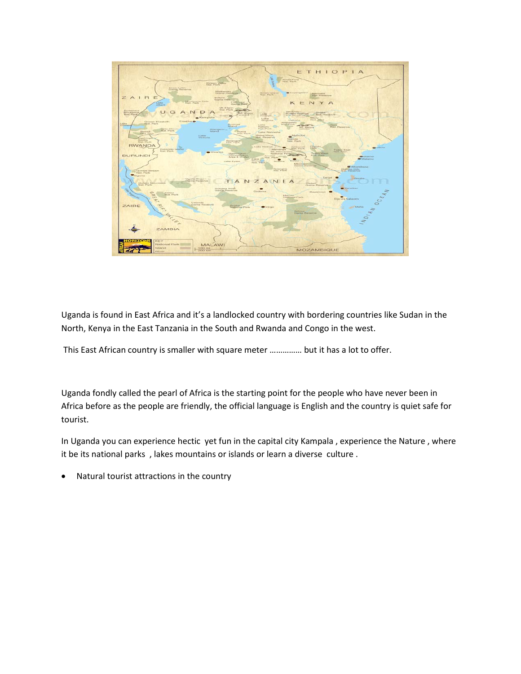

Uganda is found in East Africa and it's a landlocked country with bordering countries like Sudan in the North, Kenya in the East Tanzania in the South and Rwanda and Congo in the west.

This East African country is smaller with square meter …………… but it has a lot to offer.

Uganda fondly called the pearl of Africa is the starting point for the people who have never been in Africa before as the people are friendly, the official language is English and the country is quiet safe for tourist.

In Uganda you can experience hectic yet fun in the capital city Kampala , experience the Nature , where it be its national parks , lakes mountains or islands or learn a diverse culture .

• Natural tourist attractions in the country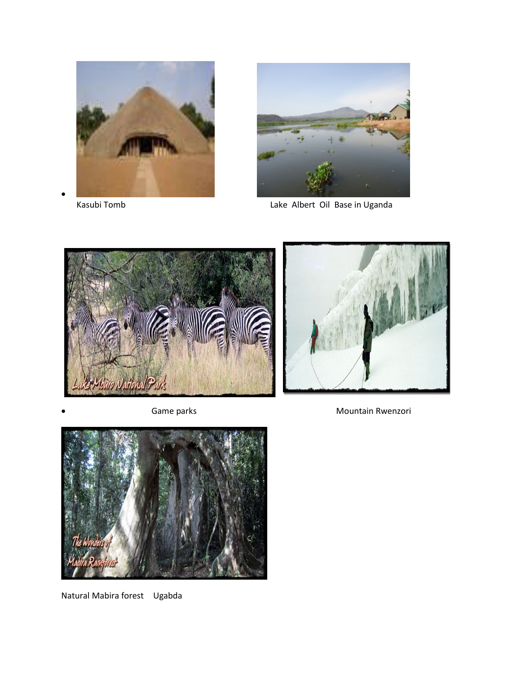



Kasubi Tomb **Lake Albert Oil Base in Uganda** 







Natural Mabira forest Ugabda

Game parks **Mountain Rwenzori Mountain Rwenzori**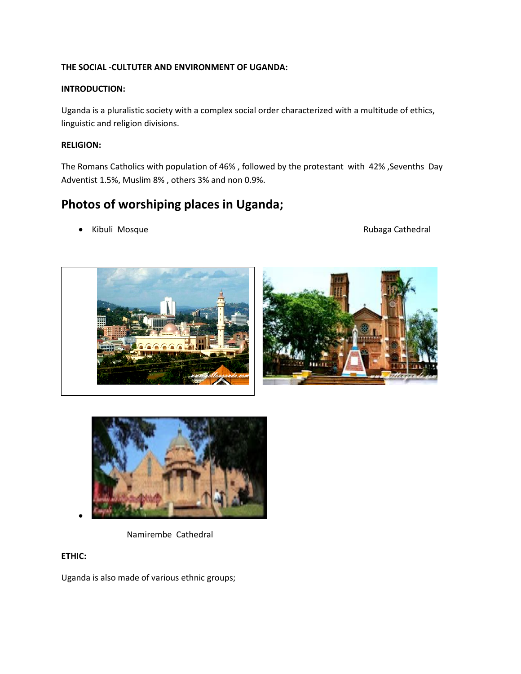#### **THE SOCIAL -CULTUTER AND ENVIRONMENT OF UGANDA:**

#### **INTRODUCTION:**

Uganda is a pluralistic society with a complex social order characterized with a multitude of ethics, linguistic and religion divisions.

#### **RELIGION:**

The Romans Catholics with population of 46% , followed by the protestant with 42% ,Sevenths Day Adventist 1.5%, Muslim 8% , others 3% and non 0.9%.

# **Photos of worshiping places in Uganda;**

• Kibuli Mosque **Access 1986** The Rubaga Cathedral





Namirembe Cathedral

#### **ETHIC:**

Uganda is also made of various ethnic groups;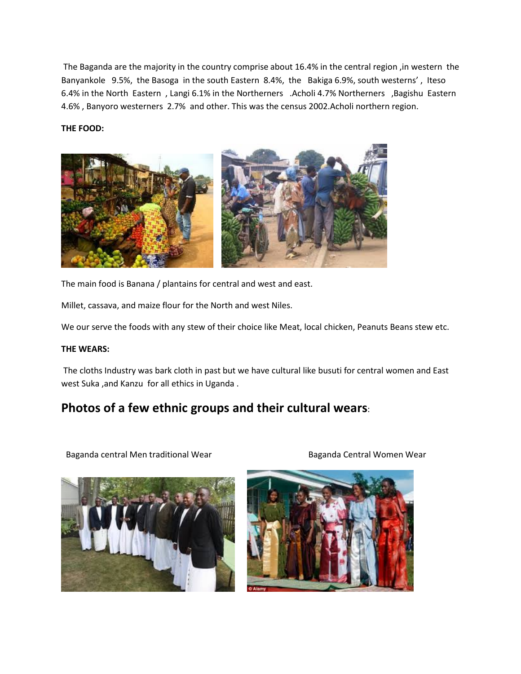The Baganda are the majority in the country comprise about 16.4% in the central region ,in western the Banyankole 9.5%, the Basoga in the south Eastern 8.4%, the Bakiga 6.9%, south westerns' , Iteso 6.4% in the North Eastern , Langi 6.1% in the Northerners .Acholi 4.7% Northerners ,Bagishu Eastern 4.6% , Banyoro westerners 2.7% and other. This was the census 2002.Acholi northern region.

#### **THE FOOD:**



The main food is Banana / plantains for central and west and east.

Millet, cassava, and maize flour for the North and west Niles.

We our serve the foods with any stew of their choice like Meat, local chicken, Peanuts Beans stew etc.

#### **THE WEARS:**

The cloths Industry was bark cloth in past but we have cultural like busuti for central women and East west Suka ,and Kanzu for all ethics in Uganda .

# **Photos of a few ethnic groups and their cultural wears**:

Baganda central Men traditional Wear **Baganda Central Women Wear** Baganda Central Women Wear



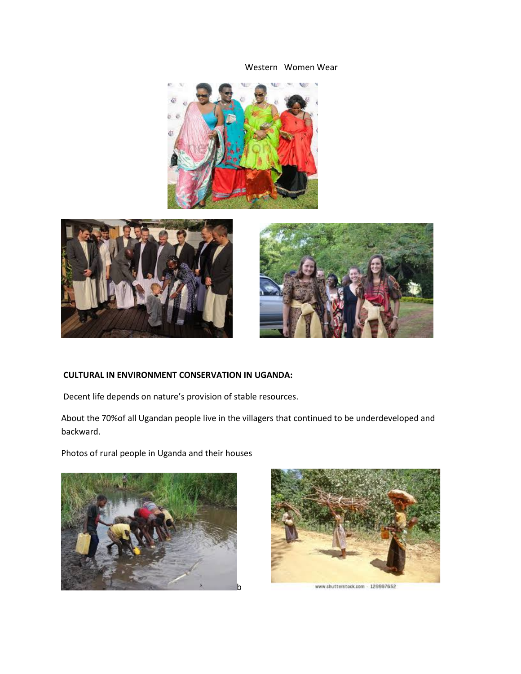Western Women Wear







#### **CULTURAL IN ENVIRONMENT CONSERVATION IN UGANDA:**

Decent life depends on nature's provision of stable resources.

About the 70%of all Ugandan people live in the villagers that continued to be underdeveloped and backward.

Photos of rural people in Uganda and their houses





www.shutterstock.com - 129997652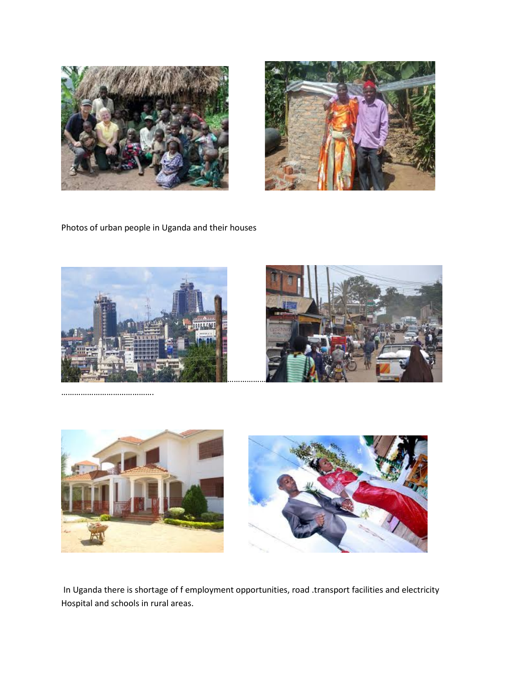



Photos of urban people in Uganda and their houses







In Uganda there is shortage of f employment opportunities, road .transport facilities and electricity Hospital and schools in rural areas.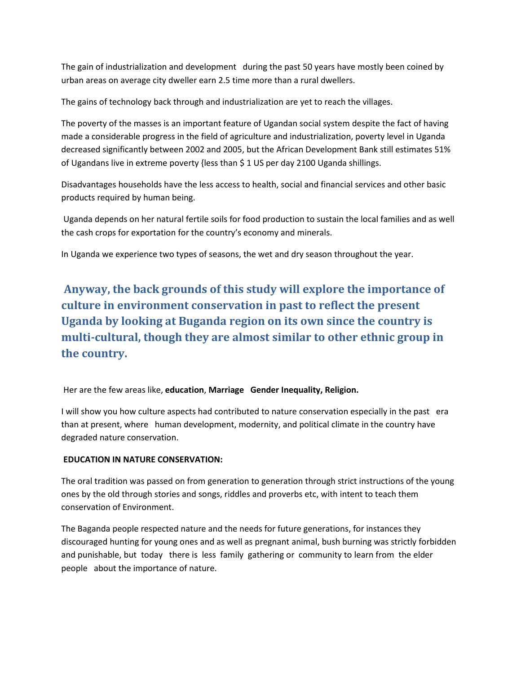The gain of industrialization and development during the past 50 years have mostly been coined by urban areas on average city dweller earn 2.5 time more than a rural dwellers.

The gains of technology back through and industrialization are yet to reach the villages.

The poverty of the masses is an important feature of Ugandan social system despite the fact of having made a considerable progress in the field of agriculture and industrialization, poverty level in Uganda decreased significantly between 2002 and 2005, but the African Development Bank still estimates 51% of Ugandans live in extreme poverty {less than \$ 1 US per day 2100 Uganda shillings.

Disadvantages households have the less access to health, social and financial services and other basic products required by human being.

Uganda depends on her natural fertile soils for food production to sustain the local families and as well the cash crops for exportation for the country's economy and minerals.

In Uganda we experience two types of seasons, the wet and dry season throughout the year.

**Anyway, the back grounds of this study will explore the importance of culture in environment conservation in past to reflect the present Uganda by looking at Buganda region on its own since the country is multi-cultural, though they are almost similar to other ethnic group in the country.**

Her are the few areas like, **education**, **Marriage Gender Inequality, Religion.**

I will show you how culture aspects had contributed to nature conservation especially in the past era than at present, where human development, modernity, and political climate in the country have degraded nature conservation.

#### **EDUCATION IN NATURE CONSERVATION:**

The oral tradition was passed on from generation to generation through strict instructions of the young ones by the old through stories and songs, riddles and proverbs etc, with intent to teach them conservation of Environment.

The Baganda people respected nature and the needs for future generations, for instances they discouraged hunting for young ones and as well as pregnant animal, bush burning was strictly forbidden and punishable, but today there is less family gathering or community to learn from the elder people about the importance of nature.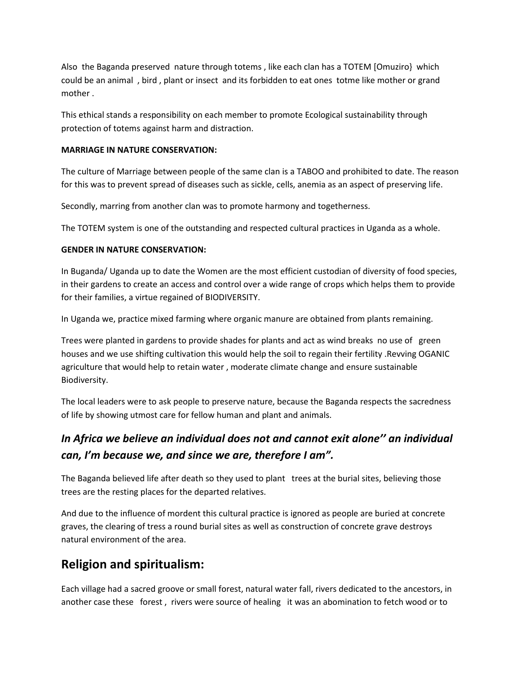Also the Baganda preserved nature through totems , like each clan has a TOTEM [Omuziro} which could be an animal , bird , plant or insect and its forbidden to eat ones totme like mother or grand mother .

This ethical stands a responsibility on each member to promote Ecological sustainability through protection of totems against harm and distraction.

#### **MARRIAGE IN NATURE CONSERVATION:**

The culture of Marriage between people of the same clan is a TABOO and prohibited to date. The reason for this was to prevent spread of diseases such as sickle, cells, anemia as an aspect of preserving life.

Secondly, marring from another clan was to promote harmony and togetherness.

The TOTEM system is one of the outstanding and respected cultural practices in Uganda as a whole.

#### **GENDER IN NATURE CONSERVATION:**

In Buganda/ Uganda up to date the Women are the most efficient custodian of diversity of food species, in their gardens to create an access and control over a wide range of crops which helps them to provide for their families, a virtue regained of BIODIVERSITY.

In Uganda we, practice mixed farming where organic manure are obtained from plants remaining.

Trees were planted in gardens to provide shades for plants and act as wind breaks no use of green houses and we use shifting cultivation this would help the soil to regain their fertility .Revving OGANIC agriculture that would help to retain water , moderate climate change and ensure sustainable Biodiversity.

The local leaders were to ask people to preserve nature, because the Baganda respects the sacredness of life by showing utmost care for fellow human and plant and animals.

# *In Africa we believe an individual does not and cannot exit alone'' an individual can, I'm because we, and since we are, therefore I am".*

The Baganda believed life after death so they used to plant trees at the burial sites, believing those trees are the resting places for the departed relatives.

And due to the influence of mordent this cultural practice is ignored as people are buried at concrete graves, the clearing of tress a round burial sites as well as construction of concrete grave destroys natural environment of the area.

# **Religion and spiritualism:**

Each village had a sacred groove or small forest, natural water fall, rivers dedicated to the ancestors, in another case these forest , rivers were source of healing it was an abomination to fetch wood or to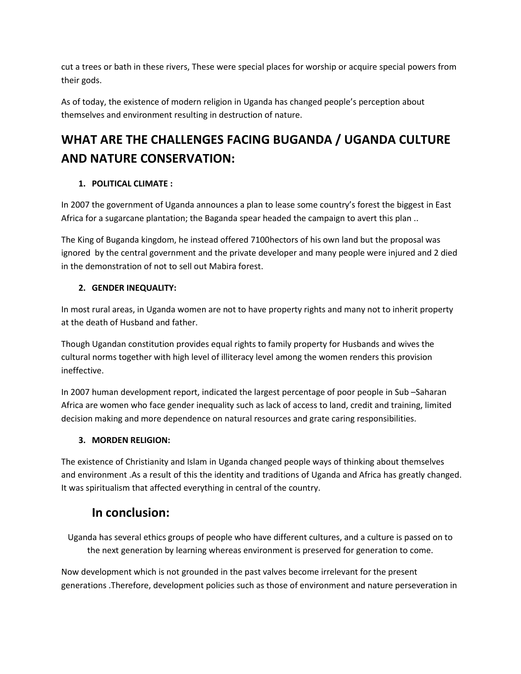cut a trees or bath in these rivers, These were special places for worship or acquire special powers from their gods.

As of today, the existence of modern religion in Uganda has changed people's perception about themselves and environment resulting in destruction of nature.

# **WHAT ARE THE CHALLENGES FACING BUGANDA / UGANDA CULTURE AND NATURE CONSERVATION:**

#### **1. POLITICAL CLIMATE :**

In 2007 the government of Uganda announces a plan to lease some country's forest the biggest in East Africa for a sugarcane plantation; the Baganda spear headed the campaign to avert this plan ..

The King of Buganda kingdom, he instead offered 7100hectors of his own land but the proposal was ignored by the central government and the private developer and many people were injured and 2 died in the demonstration of not to sell out Mabira forest.

#### **2. GENDER INEQUALITY:**

In most rural areas, in Uganda women are not to have property rights and many not to inherit property at the death of Husband and father.

Though Ugandan constitution provides equal rights to family property for Husbands and wives the cultural norms together with high level of illiteracy level among the women renders this provision ineffective.

In 2007 human development report, indicated the largest percentage of poor people in Sub –Saharan Africa are women who face gender inequality such as lack of access to land, credit and training, limited decision making and more dependence on natural resources and grate caring responsibilities.

#### **3. MORDEN RELIGION:**

The existence of Christianity and Islam in Uganda changed people ways of thinking about themselves and environment .As a result of this the identity and traditions of Uganda and Africa has greatly changed. It was spiritualism that affected everything in central of the country.

# **In conclusion:**

Uganda has several ethics groups of people who have different cultures, and a culture is passed on to the next generation by learning whereas environment is preserved for generation to come.

Now development which is not grounded in the past valves become irrelevant for the present generations .Therefore, development policies such as those of environment and nature perseveration in